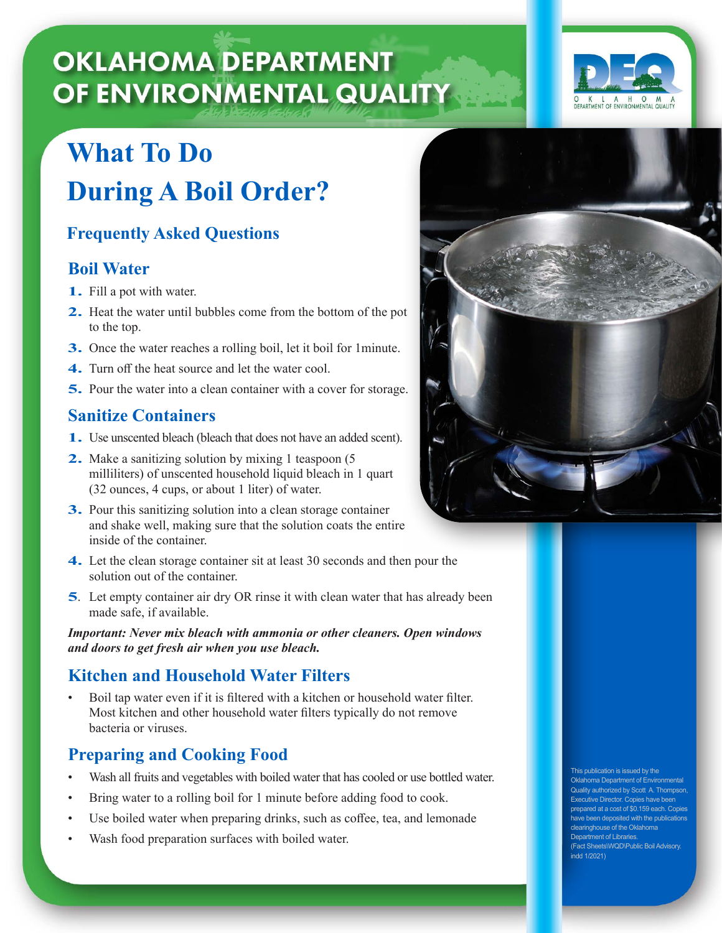# **OKLAHOMA DEPARTMENT** OF ENVIRONMENTAL QUALITY

# **What To Do During A Boil Order?**

## **Frequently Asked Questions**

## **Boil Water**

- **1.** Fill a pot with water.
- **2.** Heat the water until bubbles come from the bottom of the pot to the top.
- **3.** Once the water reaches a rolling boil, let it boil for 1minute.
- **4.** Turn off the heat source and let the water cool.
- **5.** Pour the water into a clean container with a cover for storage.

## **Sanitize Containers**

- **1.** Use unscented bleach (bleach that does not have an added scent).
- **2.** Make a sanitizing solution by mixing 1 teaspoon (5) milliliters) of unscented household liquid bleach in 1 quart (32 ounces, 4 cups, or about 1 liter) of water.
- **3.** Pour this sanitizing solution into a clean storage container and shake well, making sure that the solution coats the entire inside of the container.
- **4.** Let the clean storage container sit at least 30 seconds and then pour the solution out of the container.
- **5**. Let empty container air dry OR rinse it with clean water that has already been made safe, if available.

*Important: Never mix bleach with ammonia or other cleaners. Open windows and doors to get fresh air when you use bleach.* 

## **Kitchen and Household Water Filters**

Boil tap water even if it is filtered with a kitchen or household water filter. Most kitchen and other household water filters typically do not remove bacteria or viruses.

## **Preparing and Cooking Food**

- Wash all fruits and vegetables with boiled water that has cooled or use bottled water.
- Bring water to a rolling boil for 1 minute before adding food to cook.
- Use boiled water when preparing drinks, such as coffee, tea, and lemonade
- Wash food preparation surfaces with boiled water.



This publication is issued by the Oklahoma Department of Environmental Quality authorized by Scott A. Thompson, Executive Director. Copies have been prepared at a cost of \$0.159 each. Copies have been deposited with the publications clearinghouse of the Oklahoma Department of Libraries. (Fact Sheets\WQD\Public Boil Advisory. indd 1/2021)

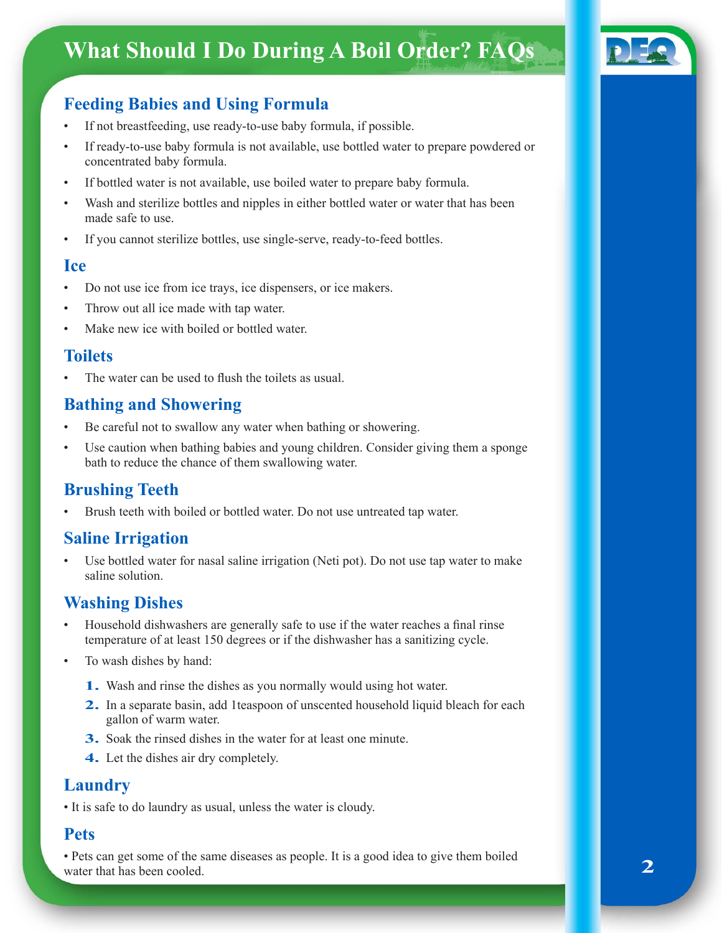## **What Should I Do During A Boil Order? FAQs**



## **Feeding Babies and Using Formula**

- If not breastfeeding, use ready-to-use baby formula, if possible.
- If ready-to-use baby formula is not available, use bottled water to prepare powdered or concentrated baby formula.
- If bottled water is not available, use boiled water to prepare baby formula.
- Wash and sterilize bottles and nipples in either bottled water or water that has been made safe to use.
- If you cannot sterilize bottles, use single-serve, ready-to-feed bottles.

#### **Ice**

- Do not use ice from ice trays, ice dispensers, or ice makers.
- Throw out all ice made with tap water.
- Make new ice with boiled or bottled water.

#### **Toilets**

The water can be used to flush the toilets as usual.

#### **Bathing and Showering**

- Be careful not to swallow any water when bathing or showering.
- Use caution when bathing babies and young children. Consider giving them a sponge bath to reduce the chance of them swallowing water.

## **Brushing Teeth**

Brush teeth with boiled or bottled water. Do not use untreated tap water.

#### **Saline Irrigation**

Use bottled water for nasal saline irrigation (Neti pot). Do not use tap water to make saline solution.

#### **Washing Dishes**

- Household dishwashers are generally safe to use if the water reaches a final rinse temperature of at least 150 degrees or if the dishwasher has a sanitizing cycle.
- To wash dishes by hand:
	- **1.** Wash and rinse the dishes as you normally would using hot water.
	- **2.** In a separate basin, add 1 teaspoon of unscented household liquid bleach for each gallon of warm water.
	- **3.** Soak the rinsed dishes in the water for at least one minute.
	- **4.** Let the dishes air dry completely.

#### **Laundry**

• It is safe to do laundry as usual, unless the water is cloudy.

#### **Pets**

• Pets can get some of the same diseases as people. It is a good idea to give them boiled water that has been cooled.